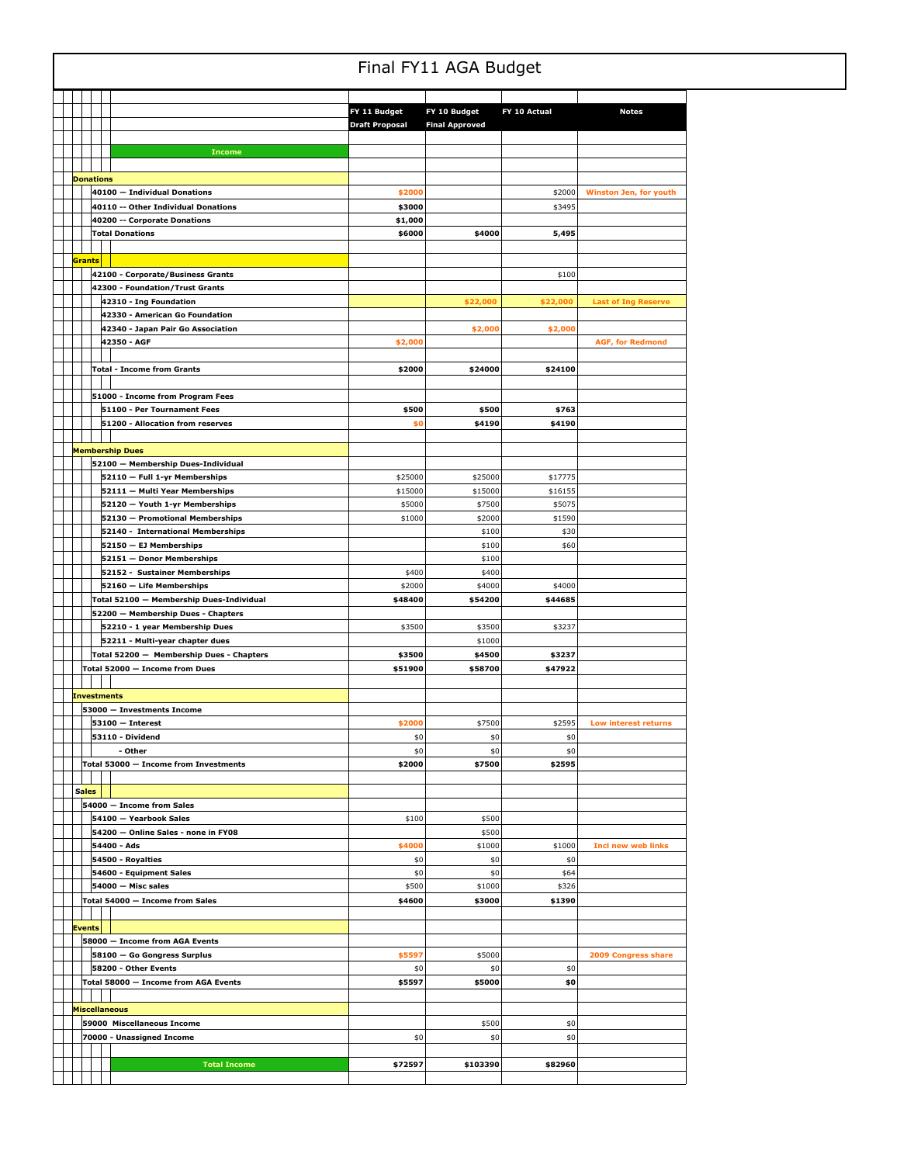## Final FY11 AGA Budget

|               |                    |                                          | FY 11 Budget          | FY 10 Budget          | FY 10 Actual | <b>Notes</b>                  |
|---------------|--------------------|------------------------------------------|-----------------------|-----------------------|--------------|-------------------------------|
|               |                    |                                          | <b>Draft Proposal</b> | <b>Final Approved</b> |              |                               |
|               |                    |                                          |                       |                       |              |                               |
|               |                    | <b>Income</b>                            |                       |                       |              |                               |
|               |                    |                                          |                       |                       |              |                               |
|               | <b>Donations</b>   |                                          |                       |                       |              |                               |
|               |                    | 40100 - Individual Donations             | \$2000                |                       | \$2000       | <b>Winston Jen, for youth</b> |
|               |                    | 40110 -- Other Individual Donations      | \$3000                |                       | \$3495       |                               |
|               |                    | 40200 -- Corporate Donations             | \$1,000               |                       |              |                               |
|               |                    | <b>Total Donations</b>                   | \$6000                | \$4000                | 5,495        |                               |
|               |                    |                                          |                       |                       |              |                               |
| Grants        |                    |                                          |                       |                       |              |                               |
|               |                    | 42100 - Corporate/Business Grants        |                       |                       | \$100        |                               |
|               |                    | 42300 - Foundation/Trust Grants          |                       |                       |              |                               |
|               |                    | 42310 - Ing Foundation                   |                       | \$22,000              | \$22,000     | <b>Last of Ing Reserve</b>    |
|               |                    | 42330 - American Go Foundation           |                       |                       |              |                               |
|               |                    | 42340 - Japan Pair Go Association        |                       | \$2,000               | \$2,000      |                               |
|               |                    | 42350 - AGF                              | \$2,000               |                       |              | <b>AGF, for Redmond</b>       |
|               |                    |                                          |                       |                       |              |                               |
|               |                    | <b>Total - Income from Grants</b>        | \$2000                | \$24000               | \$24100      |                               |
|               |                    |                                          |                       |                       |              |                               |
|               |                    | 51000 - Income from Program Fees         |                       |                       |              |                               |
|               |                    | 51100 - Per Tournament Fees              | \$500                 | \$500                 | \$763        |                               |
|               |                    | 51200 - Allocation from reserves         | \$0                   | \$4190                | \$4190       |                               |
|               |                    |                                          |                       |                       |              |                               |
|               |                    | <b>Membership Dues</b>                   |                       |                       |              |                               |
|               |                    | 52100 - Membership Dues-Individual       |                       |                       |              |                               |
|               |                    | 52110 - Full 1-yr Memberships            | \$25000               | \$25000               | \$17775      |                               |
|               |                    | 52111 - Multi Year Memberships           | \$15000               | \$15000               | \$16155      |                               |
|               |                    | 52120 - Youth 1-yr Memberships           | \$5000                | \$7500                | \$5075       |                               |
|               |                    | 52130 - Promotional Memberships          | \$1000                | \$2000                | \$1590       |                               |
|               |                    | 52140 - International Memberships        |                       | \$100                 | \$30         |                               |
|               |                    | 52150 - EJ Memberships                   |                       | \$100                 | \$60         |                               |
|               |                    | 52151 - Donor Memberships                |                       | \$100                 |              |                               |
|               |                    | 52152 - Sustainer Memberships            | \$400                 | \$400                 |              |                               |
|               |                    | 52160 - Life Memberships                 | \$2000                | \$4000                | \$4000       |                               |
|               |                    | Total 52100 - Membership Dues-Individual | \$48400               | \$54200               | \$44685      |                               |
|               |                    | 52200 - Membership Dues - Chapters       |                       |                       |              |                               |
|               |                    | 52210 - 1 year Membership Dues           | \$3500                | \$3500                | \$3237       |                               |
|               |                    | 52211 - Multi-year chapter dues          |                       | \$1000                |              |                               |
|               |                    | Total 52200 - Membership Dues - Chapters | \$3500                | \$4500                | \$3237       |                               |
|               |                    | Total 52000 - Income from Dues           | \$51900               | \$58700               | \$47922      |                               |
|               |                    |                                          |                       |                       |              |                               |
|               | <b>Investments</b> |                                          |                       |                       |              |                               |
|               |                    | 53000 - Investments Income               |                       |                       |              |                               |
|               |                    | $53100 - Interest$                       | \$2000                | \$7500                | \$2595       | Low interest returns          |
|               |                    | 53110 - Dividend                         | \$0                   | \$0                   | \$0          |                               |
|               |                    | - Other                                  | \$0                   | \$0                   | \$0          |                               |
|               |                    | Total 53000 - Income from Investments    | \$2000                | \$7500                | \$2595       |                               |
|               |                    |                                          |                       |                       |              |                               |
| <b>Sales</b>  |                    |                                          |                       |                       |              |                               |
|               |                    | 54000 - Income from Sales                |                       |                       |              |                               |
|               |                    | 54100 - Yearbook Sales                   | \$100                 | \$500                 |              |                               |
|               |                    | 54200 - Online Sales - none in FY08      |                       | \$500                 |              |                               |
|               |                    | 54400 - Ads                              | \$4000                | \$1000                | \$1000       | <b>Incl new web links</b>     |
|               |                    | 54500 - Royalties                        | \$0                   | \$0                   | \$0          |                               |
|               |                    | 54600 - Equipment Sales                  | \$0                   | \$0                   | \$64         |                               |
|               |                    | 54000 - Misc sales                       | \$500                 | \$1000                | \$326        |                               |
|               |                    | Total 54000 - Income from Sales          | \$4600                | \$3000                | \$1390       |                               |
|               |                    |                                          |                       |                       |              |                               |
| <b>Events</b> |                    |                                          |                       |                       |              |                               |
|               |                    | 58000 - Income from AGA Events           |                       |                       |              |                               |
|               |                    | 58100 - Go Gongress Surplus              | \$5597                | \$5000                |              | <b>2009 Congress share</b>    |
|               |                    | 58200 - Other Events                     | \$0                   | \$0                   | \$0          |                               |
|               |                    | Total 58000 - Income from AGA Events     | \$5597                | \$5000                | \$0          |                               |
|               |                    |                                          |                       |                       |              |                               |
|               |                    | <b>Miscellaneous</b>                     |                       |                       |              |                               |
|               |                    | 59000 Miscellaneous Income               |                       | \$500                 | \$0          |                               |
|               |                    | 70000 - Unassigned Income                | \$0                   | \$0                   | \$0          |                               |
|               |                    |                                          |                       |                       |              |                               |
|               |                    | <b>Total Income</b>                      | \$72597               | \$103390              | \$82960      |                               |
|               |                    |                                          |                       |                       |              |                               |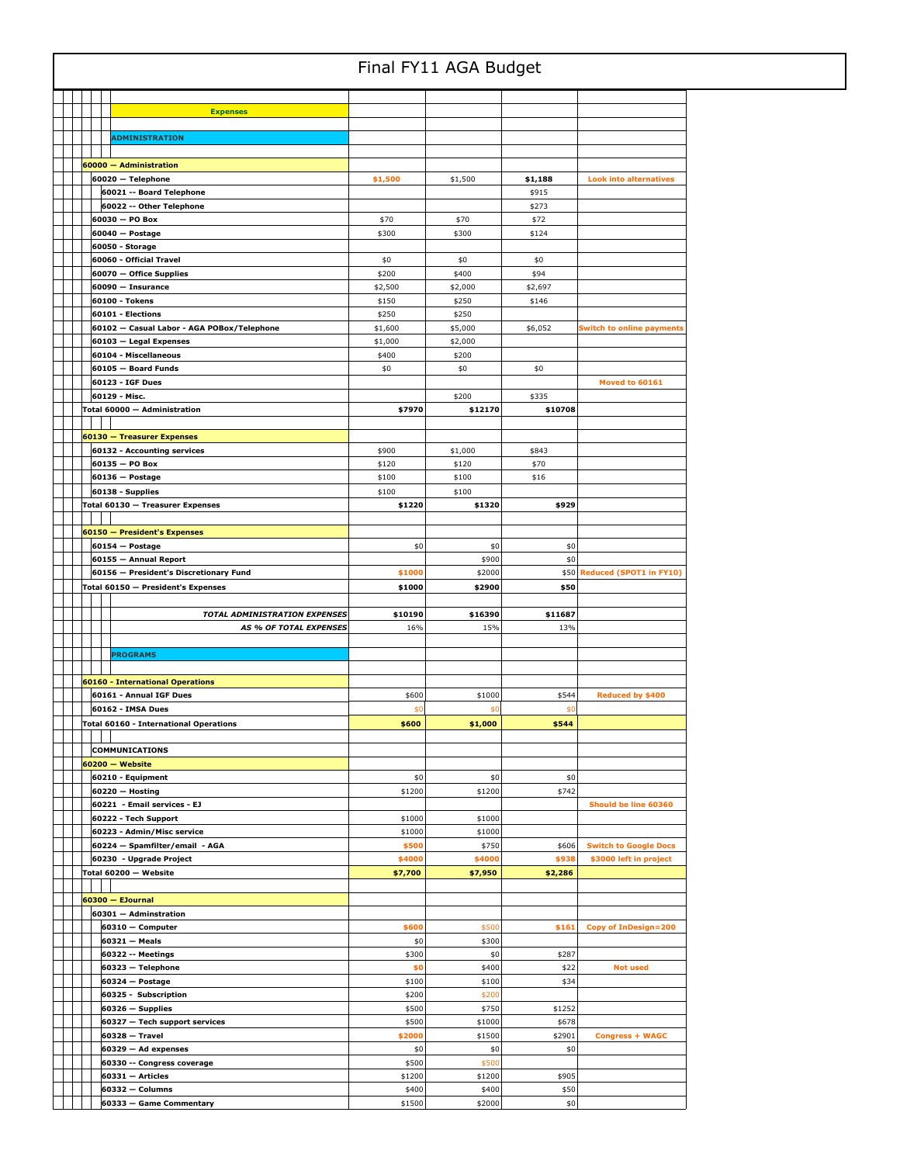|  |  |  |                                                     | Final FY11 AGA Budget |                  |                 |                                  |
|--|--|--|-----------------------------------------------------|-----------------------|------------------|-----------------|----------------------------------|
|  |  |  |                                                     |                       |                  |                 |                                  |
|  |  |  | <b>Expenses</b>                                     |                       |                  |                 |                                  |
|  |  |  |                                                     |                       |                  |                 |                                  |
|  |  |  | <b>ADMINISTRATION</b>                               |                       |                  |                 |                                  |
|  |  |  | 60000 - Administration                              |                       |                  |                 |                                  |
|  |  |  | 60020 - Telephone                                   | \$1,500               | \$1,500          | \$1,188         | <b>Look into alternatives</b>    |
|  |  |  | 60021 -- Board Telephone                            |                       |                  | \$915           |                                  |
|  |  |  | 60022 -- Other Telephone                            |                       |                  | \$273           |                                  |
|  |  |  | 60030 - PO Box                                      | \$70                  | \$70             | \$72            |                                  |
|  |  |  | 60040 - Postage<br>60050 - Storage                  | \$300                 | \$300            | \$124           |                                  |
|  |  |  | 60060 - Official Travel                             | \$0                   | \$0              | \$0             |                                  |
|  |  |  | 60070 - Office Supplies                             | \$200                 | \$400            | \$94            |                                  |
|  |  |  | 60090 - Insurance                                   | \$2,500               | \$2,000          | \$2,697         |                                  |
|  |  |  | 60100 - Tokens                                      | \$150                 | \$250            | \$146           |                                  |
|  |  |  | 60101 - Elections                                   | \$250                 | \$250            |                 |                                  |
|  |  |  | 60102 - Casual Labor - AGA POBox/Telephone          | \$1,600               | \$5,000          | \$6,052         | <b>Switch to online payments</b> |
|  |  |  | 60103 - Legal Expenses<br>60104 - Miscellaneous     | \$1,000<br>\$400      | \$2,000<br>\$200 |                 |                                  |
|  |  |  | 60105 - Board Funds                                 | \$0                   | \$0              | \$0             |                                  |
|  |  |  | 60123 - IGF Dues                                    |                       |                  |                 | Moved to 60161                   |
|  |  |  | 60129 - Misc.                                       |                       | \$200            | \$335           |                                  |
|  |  |  | Total 60000 - Administration                        | \$7970                | \$12170          | \$10708         |                                  |
|  |  |  |                                                     |                       |                  |                 |                                  |
|  |  |  | 60130 - Treasurer Expenses                          |                       |                  |                 |                                  |
|  |  |  | 60132 - Accounting services                         | \$900                 | \$1,000          | \$843           |                                  |
|  |  |  | 60135 - PO Box<br>$60136 - Postage$                 | \$120<br>\$100        | \$120<br>\$100   | \$70<br>\$16    |                                  |
|  |  |  | 60138 - Supplies                                    | \$100                 | \$100            |                 |                                  |
|  |  |  | Total 60130 - Treasurer Expenses                    | \$1220                | \$1320           | \$929           |                                  |
|  |  |  |                                                     |                       |                  |                 |                                  |
|  |  |  | 60150 - President's Expenses                        |                       |                  |                 |                                  |
|  |  |  | $60154 - Postage$                                   | \$0                   | \$0              | \$0             |                                  |
|  |  |  | 60155 - Annual Report                               |                       | \$900            | \$0             |                                  |
|  |  |  | 60156 - President's Discretionary Fund              | \$1000                | \$2000           | \$50            | Reduced (SPOT1 in FY10)          |
|  |  |  | Total 60150 - President's Expenses                  | \$1000                | \$2900           | \$50            |                                  |
|  |  |  |                                                     |                       |                  |                 |                                  |
|  |  |  | <b>TOTAL ADMINISTRATION EXPENSES</b>                | \$10190               | \$16390          | \$11687         |                                  |
|  |  |  | <b>AS % OF TOTAL EXPENSES</b>                       | 16%                   | 15%              | 13%             |                                  |
|  |  |  |                                                     |                       |                  |                 |                                  |
|  |  |  | <b>PROGRAMS</b>                                     |                       |                  |                 |                                  |
|  |  |  |                                                     |                       |                  |                 |                                  |
|  |  |  | <b>60160 - International Operations</b>             |                       |                  |                 | Reduced by \$400                 |
|  |  |  | 60161 - Annual IGF Dues<br>60162 - IMSA Dues        | \$600<br>\$0          | \$1000<br>\$0    | \$544<br>\$0    |                                  |
|  |  |  | Total 60160 - International Operations              | \$600                 | \$1,000          | \$544           |                                  |
|  |  |  |                                                     |                       |                  |                 |                                  |
|  |  |  | <b>COMMUNICATIONS</b>                               |                       |                  |                 |                                  |
|  |  |  | $60200 - Website$                                   |                       |                  |                 |                                  |
|  |  |  | 60210 - Equipment                                   | \$0                   | \$0              | \$0             |                                  |
|  |  |  | $60220 - Hosting$                                   | \$1200                | \$1200           | \$742           |                                  |
|  |  |  | 60221 - Email services - EJ<br>60222 - Tech Support | \$1000                | \$1000           |                 | Should be line 60360             |
|  |  |  | 60223 - Admin/Misc service                          | \$1000                | \$1000           |                 |                                  |
|  |  |  | 60224 - Spamfilter/email - AGA                      | \$500                 | \$750            | \$606           | <b>Switch to Google Docs</b>     |
|  |  |  | 60230 - Upgrade Project                             | \$4000                | \$4000           | \$938           | \$3000 left in project           |
|  |  |  | Total 60200 — Website                               | \$7,700               | \$7,950          | \$2,286         |                                  |
|  |  |  |                                                     |                       |                  |                 |                                  |
|  |  |  | 60300 - EJournal                                    |                       |                  |                 |                                  |
|  |  |  | 60301 - Adminstration<br>60310 - Computer           | \$600                 | \$500            | \$161           | <b>Copy of InDesign=200</b>      |
|  |  |  | 60321 - Meals                                       | \$0                   | \$300            |                 |                                  |
|  |  |  | 60322 -- Meetings                                   | \$300                 | \$0              | \$287           |                                  |
|  |  |  | 60323 - Telephone                                   | \$0                   | \$400            | \$22            | <b>Not used</b>                  |
|  |  |  | $60324 - Postage$                                   | \$100                 | \$100            | \$34            |                                  |
|  |  |  | 60325 - Subscription                                | \$200                 | \$200            |                 |                                  |
|  |  |  | $60326 -$ Supplies                                  | \$500                 | \$750            | \$1252          |                                  |
|  |  |  | 60327 - Tech support services<br>$60328 - Travel$   | \$500<br>\$2000       | \$1000<br>\$1500 | \$678<br>\$2901 | <b>Congress + WAGC</b>           |
|  |  |  | $60329 - Ad$ expenses                               | \$0                   | \$0              | \$0             |                                  |
|  |  |  | 60330 -- Congress coverage                          | \$500                 | \$500            |                 |                                  |
|  |  |  | 60331 - Articles                                    | \$1200                | \$1200           | \$905           |                                  |
|  |  |  | 60332 - Columns<br>60333 - Game Commentary          | \$400<br>\$1500       | \$400<br>\$2000  | \$50<br>\$0     |                                  |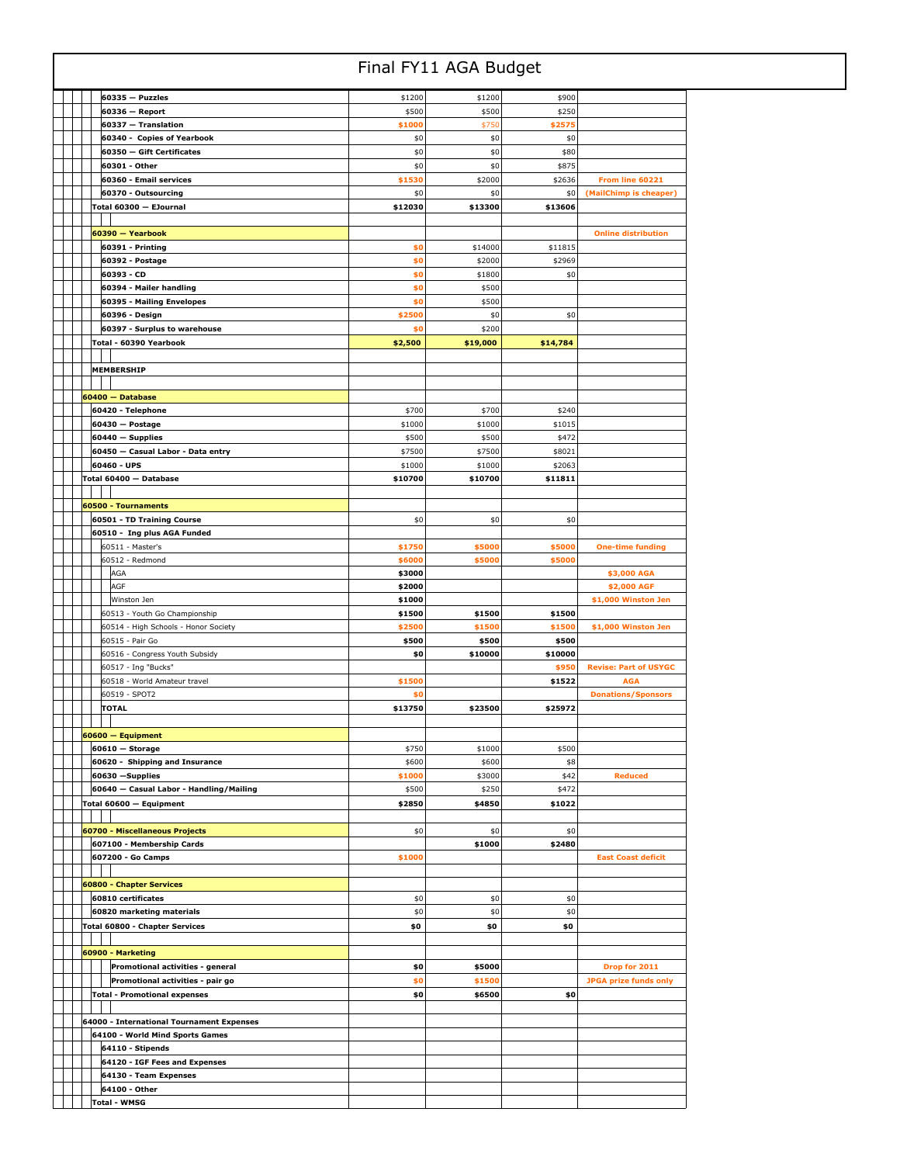|                                                     |                   | Final FY11 AGA Budget |                   |                              |  |
|-----------------------------------------------------|-------------------|-----------------------|-------------------|------------------------------|--|
| $60335 - Puzzles$                                   | \$1200            | \$1200                | \$900             |                              |  |
| 60336 - Report                                      | \$500             | \$500                 | \$250             |                              |  |
| 60337 - Translation                                 | \$1000            | \$750                 | \$2575            |                              |  |
| 60340 - Copies of Yearbook                          | \$0               | \$0                   | \$0               |                              |  |
| 60350 - Gift Certificates                           | \$0               | \$0                   | \$80              |                              |  |
| 60301 - Other                                       | \$0               | \$0                   | \$875             |                              |  |
| 60360 - Email services                              | \$1530            | \$2000                | \$2636            | From line 60221              |  |
| 60370 - Outsourcing<br>Total 60300 - EJournal       | \$0<br>\$12030    | \$0<br>\$13300        | \$0<br>\$13606    | (MailChimp is cheaper)       |  |
|                                                     |                   |                       |                   |                              |  |
| 60390 - Yearbook                                    |                   |                       |                   | <b>Online distribution</b>   |  |
| 60391 - Printing                                    | \$0               | \$14000               | \$11815           |                              |  |
| 60392 - Postage                                     | \$0               | \$2000                | \$2969            |                              |  |
| 60393 - CD                                          | \$0               | \$1800                | \$0               |                              |  |
| 60394 - Mailer handling                             | \$0               | \$500                 |                   |                              |  |
| 60395 - Mailing Envelopes                           | \$0               | \$500                 |                   |                              |  |
| 60396 - Design                                      | \$2500            | \$0                   | \$0               |                              |  |
| 60397 - Surplus to warehouse                        | \$0               | \$200                 |                   |                              |  |
| Total - 60390 Yearbook                              | \$2,500           | \$19,000              | \$14,784          |                              |  |
|                                                     |                   |                       |                   |                              |  |
| MEMBERSHIP                                          |                   |                       |                   |                              |  |
|                                                     |                   |                       |                   |                              |  |
| 60400 - Database                                    |                   |                       |                   |                              |  |
| 60420 - Telephone                                   | \$700             | \$700                 | \$240             |                              |  |
| 60430 - Postage                                     | \$1000            | \$1000                | \$1015            |                              |  |
| $60440 -$ Supplies                                  | \$500             | \$500                 | \$472             |                              |  |
| 60450 - Casual Labor - Data entry                   | \$7500            | \$7500                | \$8021            |                              |  |
| 60460 - UPS<br>Total 60400 - Database               | \$1000<br>\$10700 | \$1000<br>\$10700     | \$2063<br>\$11811 |                              |  |
|                                                     |                   |                       |                   |                              |  |
| 60500 - Tournaments                                 |                   |                       |                   |                              |  |
| 60501 - TD Training Course                          | \$0               | \$0                   | \$0               |                              |  |
| 60510 - Ing plus AGA Funded                         |                   |                       |                   |                              |  |
| 60511 - Master's                                    | \$1750            | \$5000                | \$5000            | <b>One-time funding</b>      |  |
| 60512 - Redmond                                     | \$6000            | \$5000                | \$5000            |                              |  |
| AGA                                                 | \$3000            |                       |                   | \$3,000 AGA                  |  |
| AGF                                                 | \$2000            |                       |                   | \$2,000 AGF                  |  |
| Winston Jen                                         | \$1000            |                       |                   | \$1,000 Winston Jen          |  |
| 60513 - Youth Go Championship                       | \$1500            | \$1500                | \$1500            |                              |  |
| 60514 - High Schools - Honor Society                | \$2500            | \$1500                | \$1500            | \$1,000 Winston Jen          |  |
| 60515 - Pair Go                                     | \$500             | \$500                 | \$500             |                              |  |
| 60516 - Congress Youth Subsidy                      | \$0               | \$10000               | \$10000           |                              |  |
| 60517 - Ing "Bucks"                                 |                   |                       | \$950             | <b>Revise: Part of USYGC</b> |  |
| 60518 - World Amateur travel                        | \$1500            |                       | \$1522            | <b>AGA</b>                   |  |
| 60519 - SPOT2                                       | \$0               | \$23500               |                   | <b>Donations/Sponsors</b>    |  |
| <b>TOTAL</b>                                        | \$13750           |                       | \$25972           |                              |  |
| $60600 -$ Equipment                                 |                   |                       |                   |                              |  |
| $60610 -$ Storage                                   | \$750             | \$1000                | \$500             |                              |  |
| 60620 - Shipping and Insurance                      | \$600             | \$600                 | \$8               |                              |  |
| 60630 - Supplies                                    | \$1000            | \$3000                | \$42              | <b>Reduced</b>               |  |
| 60640 - Casual Labor - Handling/Mailing             | \$500             | \$250                 | \$472             |                              |  |
| Total 60600 – Equipment                             | \$2850            | \$4850                | \$1022            |                              |  |
|                                                     |                   |                       |                   |                              |  |
| 60700 - Miscellaneous Projects                      | \$0               | \$0                   | \$0               |                              |  |
| 607100 - Membership Cards                           |                   | \$1000                | \$2480            |                              |  |
| 607200 - Go Camps                                   | \$1000            |                       |                   | <b>East Coast deficit</b>    |  |
|                                                     |                   |                       |                   |                              |  |
| 60800 - Chapter Services                            |                   |                       |                   |                              |  |
| 60810 certificates                                  | \$0               | \$0                   | \$0               |                              |  |
| 60820 marketing materials                           | \$0               | \$0                   | \$0               |                              |  |
| Total 60800 - Chapter Services                      | \$0               | \$0                   | \$0               |                              |  |
| 60900 - Marketing                                   |                   |                       |                   |                              |  |
| Promotional activities - general                    | \$0               | \$5000                |                   | Drop for 2011                |  |
| Promotional activities - pair go                    | \$0               | \$1500                |                   | <b>JPGA prize funds only</b> |  |
| <b>Total - Promotional expenses</b>                 | \$0               | \$6500                | \$0               |                              |  |
|                                                     |                   |                       |                   |                              |  |
|                                                     |                   |                       |                   |                              |  |
|                                                     |                   |                       |                   |                              |  |
| 64000 - International Tournament Expenses           |                   |                       |                   |                              |  |
| 64100 - World Mind Sports Games<br>64110 - Stipends |                   |                       |                   |                              |  |
| 64120 - IGF Fees and Expenses                       |                   |                       |                   |                              |  |
| 64130 - Team Expenses                               |                   |                       |                   |                              |  |
| 64100 - Other                                       |                   |                       |                   |                              |  |